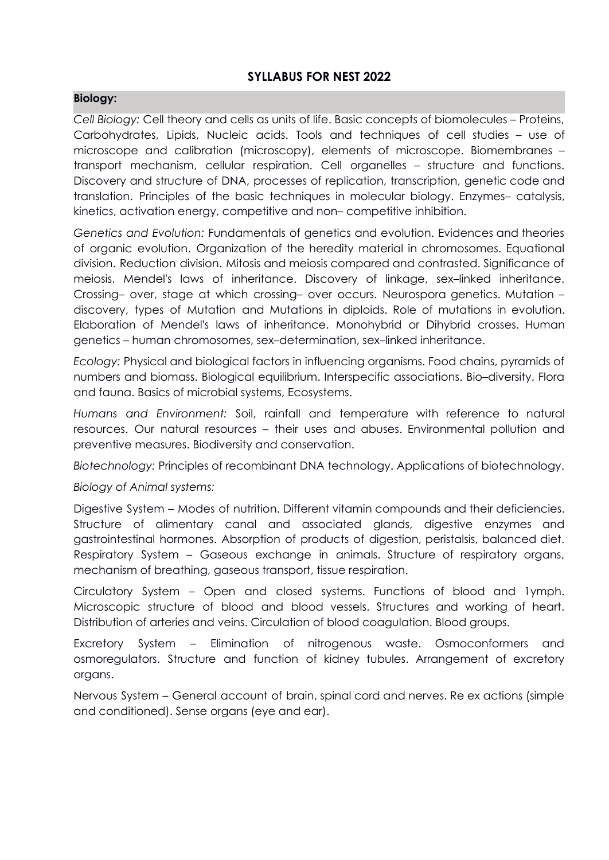# **SYLLABUS FOR NEST 2022**

# **Biology:**

*Cell Biology:* Cell theory and cells as units of life. Basic concepts of biomolecules – Proteins, Carbohydrates, Lipids, Nucleic acids. Tools and techniques of cell studies – use of microscope and calibration (microscopy), elements of microscope. Biomembranes – transport mechanism, cellular respiration. Cell organelles – structure and functions. Discovery and structure of DNA, processes of replication, transcription, genetic code and translation. Principles of the basic techniques in molecular biology. Enzymes– catalysis, kinetics, activation energy, competitive and non– competitive inhibition.

*Genetics and Evolution:* Fundamentals of genetics and evolution. Evidences and theories of organic evolution. Organization of the heredity material in chromosomes. Equational division. Reduction division. Mitosis and meiosis compared and contrasted. Significance of meiosis. Mendel's laws of inheritance. Discovery of linkage, sex–linked inheritance. Crossing– over, stage at which crossing– over occurs. Neurospora genetics. Mutation – discovery, types of Mutation and Mutations in diploids. Role of mutations in evolution. Elaboration of Mendel's laws of inheritance. Monohybrid or Dihybrid crosses. Human genetics – human chromosomes, sex–determination, sex–linked inheritance.

*Ecology:* Physical and biological factors in influencing organisms. Food chains, pyramids of numbers and biomass. Biological equilibrium. Interspecific associations. Bio–diversity. Flora and fauna. Basics of microbial systems, Ecosystems.

*Humans and Environment:* Soil, rainfall and temperature with reference to natural resources. Our natural resources – their uses and abuses. Environmental pollution and preventive measures. Biodiversity and conservation.

*Biotechnology:* Principles of recombinant DNA technology. Applications of biotechnology.

## *Biology of Animal systems:*

Digestive System – Modes of nutrition. Different vitamin compounds and their deficiencies. Structure of alimentary canal and associated glands, digestive enzymes and gastrointestinal hormones. Absorption of products of digestion, peristalsis, balanced diet. Respiratory System – Gaseous exchange in animals. Structure of respiratory organs, mechanism of breathing, gaseous transport, tissue respiration.

Circulatory System – Open and closed systems. Functions of blood and 1ymph. Microscopic structure of blood and blood vessels. Structures and working of heart. Distribution of arteries and veins. Circulation of blood coagulation. Blood groups.

Excretory System – Elimination of nitrogenous waste. Osmoconformers and osmoregulators. Structure and function of kidney tubules. Arrangement of excretory organs.

Nervous System – General account of brain, spinal cord and nerves. Re ex actions (simple and conditioned). Sense organs (eye and ear).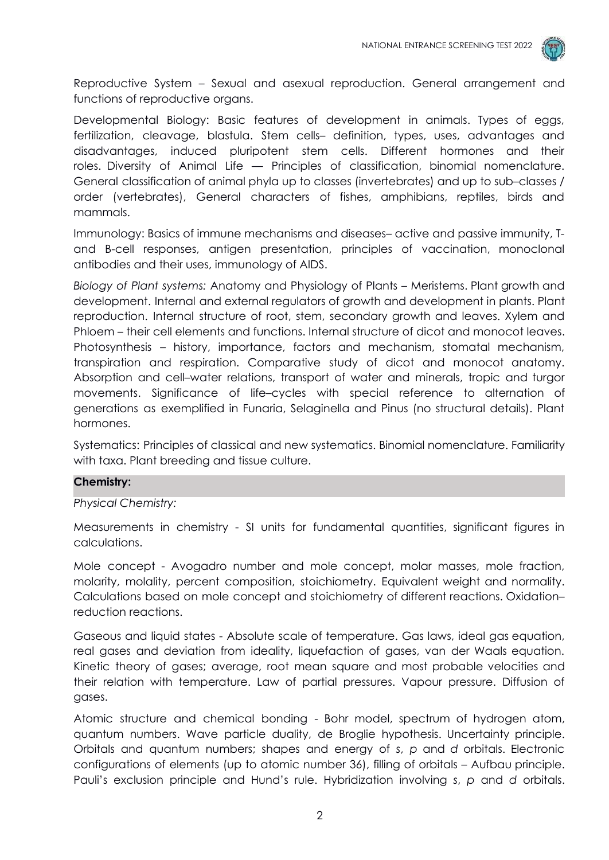

Reproductive System – Sexual and asexual reproduction. General arrangement and functions of reproductive organs.

Developmental Biology: Basic features of development in animals. Types of eggs, fertilization, cleavage, blastula. Stem cells– definition, types, uses, advantages and disadvantages, induced pluripotent stem cells. Different hormones and their roles. Diversity of Animal Life — Principles of classification, binomial nomenclature. General classification of animal phyla up to classes (invertebrates) and up to sub–classes / order (vertebrates), General characters of fishes, amphibians, reptiles, birds and mammals.

Immunology: Basics of immune mechanisms and diseases– active and passive immunity, Tand B-cell responses, antigen presentation, principles of vaccination, monoclonal antibodies and their uses, immunology of AIDS.

*Biology of Plant systems:* Anatomy and Physiology of Plants – Meristems. Plant growth and development. Internal and external regulators of growth and development in plants. Plant reproduction. Internal structure of root, stem, secondary growth and leaves. Xylem and Phloem – their cell elements and functions. Internal structure of dicot and monocot leaves. Photosynthesis – history, importance, factors and mechanism, stomatal mechanism, transpiration and respiration. Comparative study of dicot and monocot anatomy. Absorption and cell–water relations, transport of water and minerals, tropic and turgor movements. Significance of life–cycles with special reference to alternation of generations as exemplified in Funaria, Selaginella and Pinus (no structural details). Plant hormones.

Systematics: Principles of classical and new systematics. Binomial nomenclature. Familiarity with taxa. Plant breeding and tissue culture.

#### **Chemistry:**

#### *Physical Chemistry:*

Measurements in chemistry - SI units for fundamental quantities, significant figures in calculations.

Mole concept - Avogadro number and mole concept, molar masses, mole fraction, molarity, molality, percent composition, stoichiometry. Equivalent weight and normality. Calculations based on mole concept and stoichiometry of different reactions. Oxidation– reduction reactions.

Gaseous and liquid states - Absolute scale of temperature. Gas laws, ideal gas equation, real gases and deviation from ideality, liquefaction of gases, van der Waals equation. Kinetic theory of gases; average, root mean square and most probable velocities and their relation with temperature. Law of partial pressures. Vapour pressure. Diffusion of gases.

Atomic structure and chemical bonding - Bohr model, spectrum of hydrogen atom, quantum numbers. Wave particle duality, de Broglie hypothesis. Uncertainty principle. Orbitals and quantum numbers; shapes and energy of *s*, *p* and *d* orbitals. Electronic configurations of elements (up to atomic number 36), filling of orbitals – Aufbau principle. Pauli's exclusion principle and Hund's rule. Hybridization involving *s*, *p* and *d* orbitals.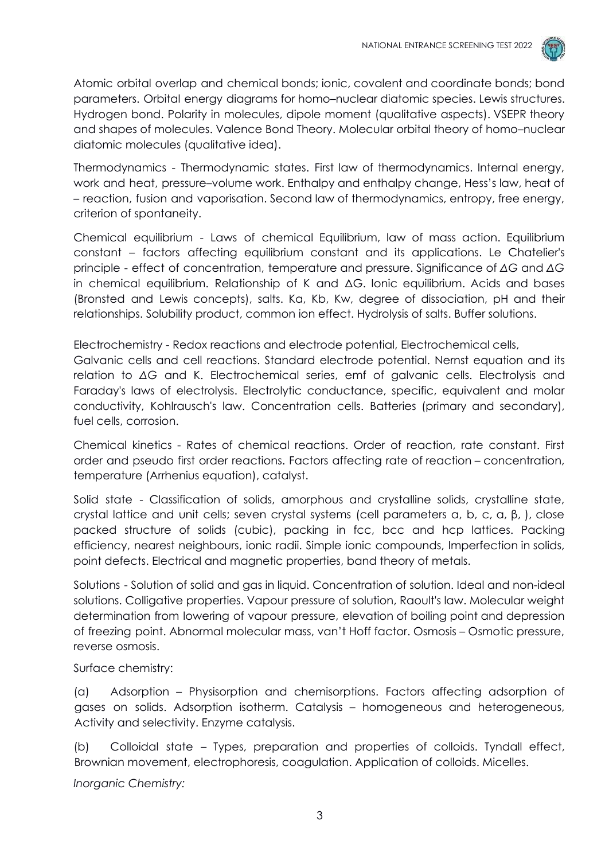

Atomic orbital overlap and chemical bonds; ionic, covalent and coordinate bonds; bond parameters. Orbital energy diagrams for homo–nuclear diatomic species. Lewis structures. Hydrogen bond. Polarity in molecules, dipole moment (qualitative aspects). VSEPR theory and shapes of molecules. Valence Bond Theory. Molecular orbital theory of homo–nuclear diatomic molecules (qualitative idea).

Thermodynamics - Thermodynamic states. First law of thermodynamics. Internal energy, work and heat, pressure–volume work. Enthalpy and enthalpy change, Hess's law, heat of – reaction, fusion and vaporisation. Second law of thermodynamics, entropy, free energy, criterion of spontaneity.

Chemical equilibrium - Laws of chemical Equilibrium, law of mass action. Equilibrium constant – factors affecting equilibrium constant and its applications. Le Chatelier's principle - effect of concentration, temperature and pressure. Significance of *ΔG* and *ΔG* in chemical equilibrium. Relationship of K and ΔG. Ionic equilibrium. Acids and bases (Bronsted and Lewis concepts), salts. Ka, Kb, Kw, degree of dissociation, pH and their relationships. Solubility product, common ion effect. Hydrolysis of salts. Buffer solutions.

Electrochemistry - Redox reactions and electrode potential, Electrochemical cells, Galvanic cells and cell reactions. Standard electrode potential. Nernst equation and its relation to *ΔG* and K. Electrochemical series, emf of galvanic cells. Electrolysis and Faraday's laws of electrolysis. Electrolytic conductance, specific, equivalent and molar conductivity, Kohlrausch's law. Concentration cells. Batteries (primary and secondary), fuel cells, corrosion.

Chemical kinetics - Rates of chemical reactions. Order of reaction, rate constant. First order and pseudo first order reactions. Factors affecting rate of reaction – concentration, temperature (Arrhenius equation), catalyst.

Solid state - Classification of solids, amorphous and crystalline solids, crystalline state, crystal lattice and unit cells; seven crystal systems (cell parameters a, b, c, α, β, ), close packed structure of solids (cubic), packing in fcc, bcc and hcp lattices. Packing efficiency, nearest neighbours, ionic radii. Simple ionic compounds, Imperfection in solids, point defects. Electrical and magnetic properties, band theory of metals.

Solutions - Solution of solid and gas in liquid. Concentration of solution. Ideal and non-ideal solutions. Colligative properties. Vapour pressure of solution, Raoult's law. Molecular weight determination from lowering of vapour pressure, elevation of boiling point and depression of freezing point. Abnormal molecular mass, van't Hoff factor. Osmosis – Osmotic pressure, reverse osmosis.

Surface chemistry:

(a) Adsorption – Physisorption and chemisorptions. Factors affecting adsorption of gases on solids. Adsorption isotherm. Catalysis – homogeneous and heterogeneous, Activity and selectivity. Enzyme catalysis.

(b) Colloidal state – Types, preparation and properties of colloids. Tyndall effect, Brownian movement, electrophoresis, coagulation. Application of colloids. Micelles.

*Inorganic Chemistry:*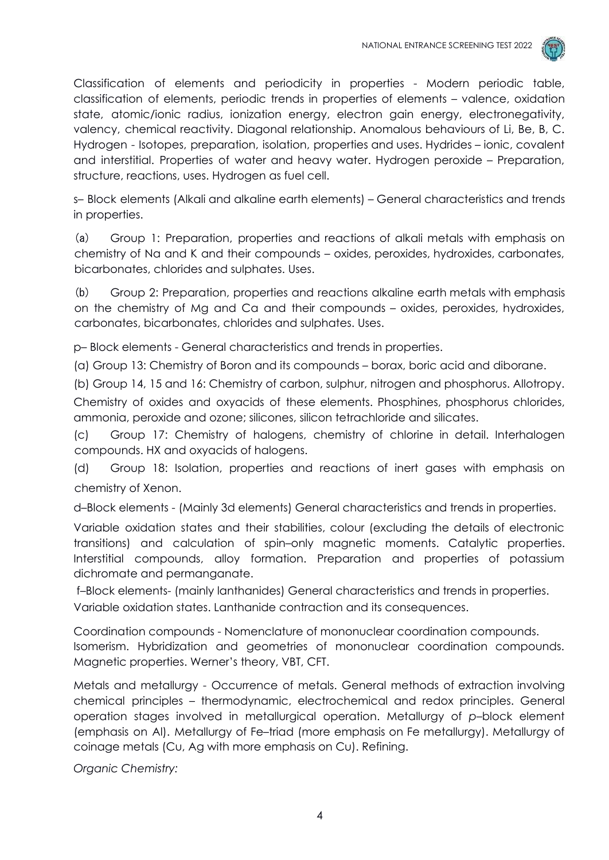

Classification of elements and periodicity in properties - Modern periodic table, classification of elements, periodic trends in properties of elements – valence, oxidation state, atomic/ionic radius, ionization energy, electron gain energy, electronegativity, valency, chemical reactivity. Diagonal relationship. Anomalous behaviours of Li, Be, B, C. Hydrogen - Isotopes, preparation, isolation, properties and uses. Hydrides – ionic, covalent and interstitial. Properties of water and heavy water. Hydrogen peroxide – Preparation, structure, reactions, uses. Hydrogen as fuel cell.

s– Block elements (Alkali and alkaline earth elements) – General characteristics and trends in properties.

(a) Group 1: Preparation, properties and reactions of alkali metals with emphasis on chemistry of Na and K and their compounds – oxides, peroxides, hydroxides, carbonates, bicarbonates, chlorides and sulphates. Uses.

(b) Group 2: Preparation, properties and reactions alkaline earth metals with emphasis on the chemistry of Mg and Ca and their compounds – oxides, peroxides, hydroxides, carbonates, bicarbonates, chlorides and sulphates. Uses.

p– Block elements - General characteristics and trends in properties.

(a) Group 13: Chemistry of Boron and its compounds – borax, boric acid and diborane.

(b) Group 14, 15 and 16: Chemistry of carbon, sulphur, nitrogen and phosphorus. Allotropy.

Chemistry of oxides and oxyacids of these elements. Phosphines, phosphorus chlorides, ammonia, peroxide and ozone; silicones, silicon tetrachloride and silicates.

(c) Group 17: Chemistry of halogens, chemistry of chlorine in detail. Interhalogen compounds. HX and oxyacids of halogens.

(d) Group 18: Isolation, properties and reactions of inert gases with emphasis on chemistry of Xenon.

d–Block elements - (Mainly 3d elements) General characteristics and trends in properties.

Variable oxidation states and their stabilities, colour (excluding the details of electronic transitions) and calculation of spin–only magnetic moments. Catalytic properties. Interstitial compounds, alloy formation. Preparation and properties of potassium dichromate and permanganate.

f–Block elements- (mainly lanthanides) General characteristics and trends in properties. Variable oxidation states. Lanthanide contraction and its consequences.

Coordination compounds - Nomenclature of mononuclear coordination compounds. Isomerism. Hybridization and geometries of mononuclear coordination compounds. Magnetic properties. Werner's theory, VBT, CFT.

Metals and metallurgy - Occurrence of metals. General methods of extraction involving chemical principles – thermodynamic, electrochemical and redox principles. General operation stages involved in metallurgical operation. Metallurgy of *p*–block element (emphasis on Al). Metallurgy of Fe–triad (more emphasis on Fe metallurgy). Metallurgy of coinage metals (Cu, Ag with more emphasis on Cu). Refining.

*Organic Chemistry:*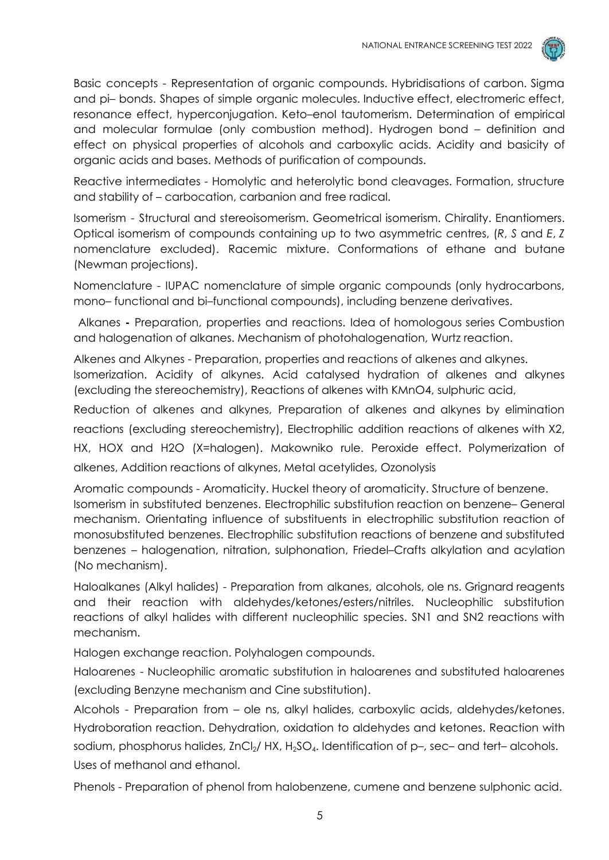

Basic concepts - Representation of organic compounds. Hybridisations of carbon. Sigma and pi– bonds. Shapes of simple organic molecules. Inductive effect, electromeric effect, resonance effect, hyperconjugation. Keto–enol tautomerism. Determination of empirical and molecular formulae (only combustion method). Hydrogen bond – definition and effect on physical properties of alcohols and carboxylic acids. Acidity and basicity of organic acids and bases. Methods of purification of compounds.

Reactive intermediates - Homolytic and heterolytic bond cleavages. Formation, structure and stability of – carbocation, carbanion and free radical.

Isomerism - Structural and stereoisomerism. Geometrical isomerism. Chirality. Enantiomers. Optical isomerism of compounds containing up to two asymmetric centres, (*R*, *S* and *E*, *Z* nomenclature excluded). Racemic mixture. Conformations of ethane and butane (Newman projections).

Nomenclature - IUPAC nomenclature of simple organic compounds (only hydrocarbons, mono– functional and bi–functional compounds), including benzene derivatives.

Alkanes **-** Preparation, properties and reactions. Idea of homologous series Combustion and halogenation of alkanes. Mechanism of photohalogenation, Wurtz reaction.

Alkenes and Alkynes - Preparation, properties and reactions of alkenes and alkynes.

Isomerization. Acidity of alkynes. Acid catalysed hydration of alkenes and alkynes (excluding the stereochemistry), Reactions of alkenes with KMnO4, sulphuric acid,

Reduction of alkenes and alkynes, Preparation of alkenes and alkynes by elimination reactions (excluding stereochemistry), Electrophilic addition reactions of alkenes with X2, HX, HOX and H2O (X=halogen). Makowniko rule. Peroxide effect. Polymerization of alkenes, Addition reactions of alkynes, Metal acetylides, Ozonolysis

Aromatic compounds - Aromaticity. Huckel theory of aromaticity. Structure of benzene. Isomerism in substituted benzenes. Electrophilic substitution reaction on benzene– General mechanism. Orientating influence of substituents in electrophilic substitution reaction of monosubstituted benzenes. Electrophilic substitution reactions of benzene and substituted benzenes – halogenation, nitration, sulphonation, Friedel–Crafts alkylation and acylation (No mechanism).

Haloalkanes (Alkyl halides) - Preparation from alkanes, alcohols, ole ns. Grignard reagents and their reaction with aldehydes/ketones/esters/nitriles. Nucleophilic substitution reactions of alkyl halides with different nucleophilic species. SN1 and SN2 reactions with mechanism.

Halogen exchange reaction. Polyhalogen compounds.

Haloarenes - Nucleophilic aromatic substitution in haloarenes and substituted haloarenes (excluding Benzyne mechanism and Cine substitution).

Alcohols - Preparation from – ole ns, alkyl halides, carboxylic acids, aldehydes/ketones. Hydroboration reaction. Dehydration, oxidation to aldehydes and ketones. Reaction with sodium, phosphorus halides, ZnCl $_2$ / HX, H $_2$ SO $_4$ . Identification of p–, sec– and tert– alcohols. Uses of methanol and ethanol.

Phenols - Preparation of phenol from halobenzene, cumene and benzene sulphonic acid.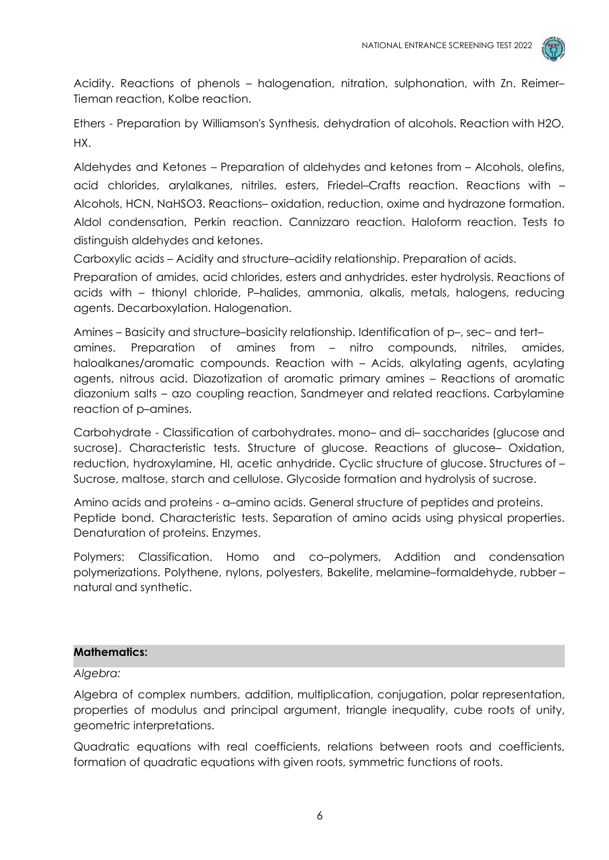

Acidity. Reactions of phenols – halogenation, nitration, sulphonation, with Zn. Reimer– Tieman reaction, Kolbe reaction.

Ethers - Preparation by Williamson's Synthesis, dehydration of alcohols. Reaction with H2O, HX.

Aldehydes and Ketones – Preparation of aldehydes and ketones from – Alcohols, olefins, acid chlorides, arylalkanes, nitriles, esters, Friedel–Crafts reaction. Reactions with – Alcohols, HCN, NaHSO3. Reactions– oxidation, reduction, oxime and hydrazone formation. Aldol condensation, Perkin reaction. Cannizzaro reaction. Haloform reaction. Tests to distinguish aldehydes and ketones.

Carboxylic acids – Acidity and structure–acidity relationship. Preparation of acids.

Preparation of amides, acid chlorides, esters and anhydrides. ester hydrolysis. Reactions of acids with – thionyl chloride, P–halides, ammonia, alkalis, metals, halogens, reducing agents. Decarboxylation. Halogenation.

Amines – Basicity and structure–basicity relationship. Identification of p–, sec– and tert– amines. Preparation of amines from – nitro compounds, nitriles, amides, haloalkanes/aromatic compounds. Reaction with – Acids, alkylating agents, acylating agents, nitrous acid. Diazotization of aromatic primary amines – Reactions of aromatic diazonium salts – azo coupling reaction, Sandmeyer and related reactions. Carbylamine reaction of p–amines.

Carbohydrate - Classification of carbohydrates. mono– and di– saccharides (glucose and sucrose). Characteristic tests. Structure of glucose. Reactions of glucose– Oxidation, reduction, hydroxylamine, HI, acetic anhydride. Cyclic structure of glucose. Structures of – Sucrose, maltose, starch and cellulose. Glycoside formation and hydrolysis of sucrose.

Amino acids and proteins - a-amino acids. General structure of peptides and proteins. Peptide bond. Characteristic tests. Separation of amino acids using physical properties. Denaturation of proteins. Enzymes.

Polymers: Classification. Homo and co–polymers, Addition and condensation polymerizations. Polythene, nylons, polyesters, Bakelite, melamine–formaldehyde, rubber – natural and synthetic.

## **Mathematics:**

*Algebra:*

Algebra of complex numbers, addition, multiplication, conjugation, polar representation, properties of modulus and principal argument, triangle inequality, cube roots of unity, geometric interpretations.

Quadratic equations with real coefficients, relations between roots and coefficients, formation of quadratic equations with given roots, symmetric functions of roots.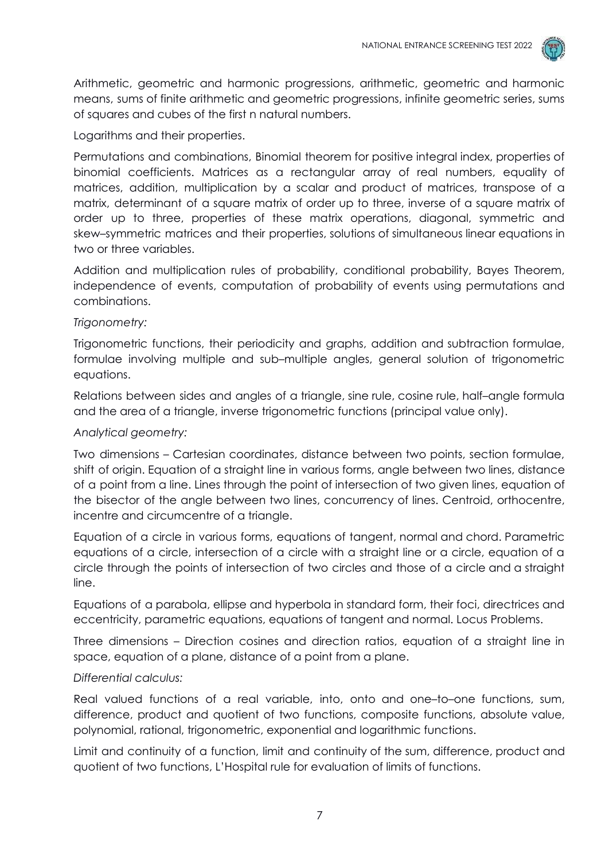

Arithmetic, geometric and harmonic progressions, arithmetic, geometric and harmonic means, sums of finite arithmetic and geometric progressions, infinite geometric series, sums of squares and cubes of the first n natural numbers.

# Logarithms and their properties.

Permutations and combinations, Binomial theorem for positive integral index, properties of binomial coefficients. Matrices as a rectangular array of real numbers, equality of matrices, addition, multiplication by a scalar and product of matrices, transpose of a matrix, determinant of a square matrix of order up to three, inverse of a square matrix of order up to three, properties of these matrix operations, diagonal, symmetric and skew–symmetric matrices and their properties, solutions of simultaneous linear equations in two or three variables.

Addition and multiplication rules of probability, conditional probability, Bayes Theorem, independence of events, computation of probability of events using permutations and combinations.

### *Trigonometry:*

Trigonometric functions, their periodicity and graphs, addition and subtraction formulae, formulae involving multiple and sub–multiple angles, general solution of trigonometric equations.

Relations between sides and angles of a triangle, sine rule, cosine rule, half–angle formula and the area of a triangle, inverse trigonometric functions (principal value only).

## *Analytical geometry:*

Two dimensions – Cartesian coordinates, distance between two points, section formulae, shift of origin. Equation of a straight line in various forms, angle between two lines, distance of a point from a line. Lines through the point of intersection of two given lines, equation of the bisector of the angle between two lines, concurrency of lines. Centroid, orthocentre, incentre and circumcentre of a triangle.

Equation of a circle in various forms, equations of tangent, normal and chord. Parametric equations of a circle, intersection of a circle with a straight line or a circle, equation of a circle through the points of intersection of two circles and those of a circle and a straight line.

Equations of a parabola, ellipse and hyperbola in standard form, their foci, directrices and eccentricity, parametric equations, equations of tangent and normal. Locus Problems.

Three dimensions – Direction cosines and direction ratios, equation of a straight line in space, equation of a plane, distance of a point from a plane.

## *Differential calculus:*

Real valued functions of a real variable, into, onto and one–to–one functions, sum, difference, product and quotient of two functions, composite functions, absolute value, polynomial, rational, trigonometric, exponential and logarithmic functions.

Limit and continuity of a function, limit and continuity of the sum, difference, product and quotient of two functions, L'Hospital rule for evaluation of limits of functions.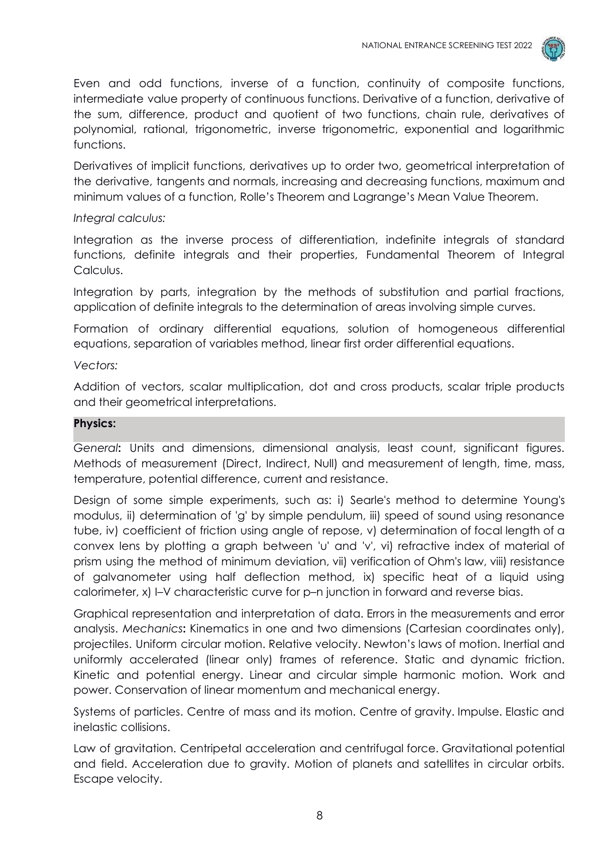

Even and odd functions, inverse of a function, continuity of composite functions, intermediate value property of continuous functions. Derivative of a function, derivative of the sum, difference, product and quotient of two functions, chain rule, derivatives of polynomial, rational, trigonometric, inverse trigonometric, exponential and logarithmic functions.

Derivatives of implicit functions, derivatives up to order two, geometrical interpretation of the derivative, tangents and normals, increasing and decreasing functions, maximum and minimum values of a function, Rolle's Theorem and Lagrange's Mean Value Theorem.

### *Integral calculus:*

Integration as the inverse process of differentiation, indefinite integrals of standard functions, definite integrals and their properties, Fundamental Theorem of Integral Calculus.

Integration by parts, integration by the methods of substitution and partial fractions, application of definite integrals to the determination of areas involving simple curves.

Formation of ordinary differential equations, solution of homogeneous differential equations, separation of variables method, linear first order differential equations.

### *Vectors:*

Addition of vectors, scalar multiplication, dot and cross products, scalar triple products and their geometrical interpretations.

#### **Physics:**

*General***:** Units and dimensions, dimensional analysis, least count, significant figures. Methods of measurement (Direct, Indirect, Null) and measurement of length, time, mass, temperature, potential difference, current and resistance.

Design of some simple experiments, such as: i) Searle's method to determine Young's modulus, ii) determination of 'g' by simple pendulum, iii) speed of sound using resonance tube, iv) coefficient of friction using angle of repose, v) determination of focal length of a convex lens by plotting a graph between 'u' and 'v', vi) refractive index of material of prism using the method of minimum deviation, vii) verification of Ohm's law, viii) resistance of galvanometer using half deflection method, ix) specific heat of a liquid using calorimeter, x) I–V characteristic curve for p–n junction in forward and reverse bias.

Graphical representation and interpretation of data. Errors in the measurements and error analysis. *Mechanics***:** Kinematics in one and two dimensions (Cartesian coordinates only), projectiles. Uniform circular motion. Relative velocity. Newton's laws of motion. Inertial and uniformly accelerated (linear only) frames of reference. Static and dynamic friction. Kinetic and potential energy. Linear and circular simple harmonic motion. Work and power. Conservation of linear momentum and mechanical energy.

Systems of particles. Centre of mass and its motion. Centre of gravity. Impulse. Elastic and inelastic collisions.

Law of gravitation. Centripetal acceleration and centrifugal force. Gravitational potential and field. Acceleration due to gravity. Motion of planets and satellites in circular orbits. Escape velocity.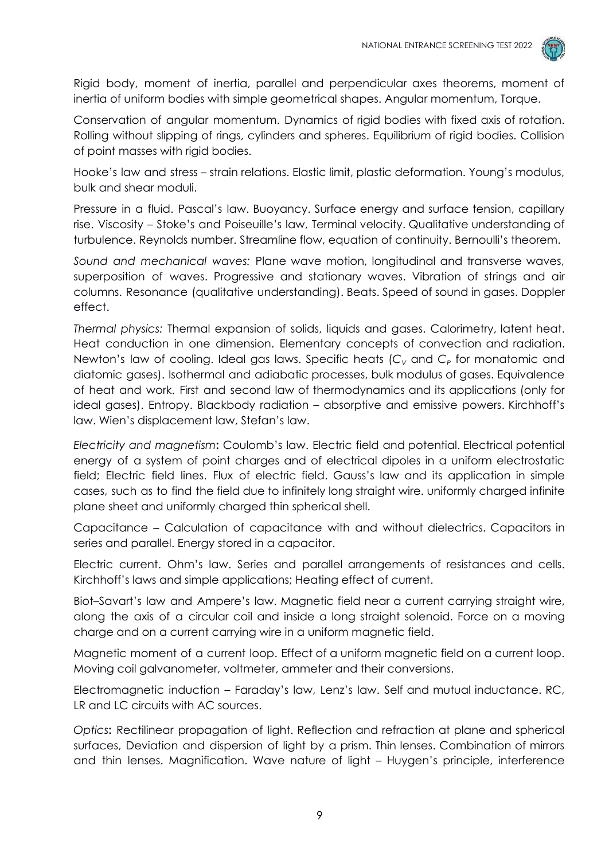

Rigid body, moment of inertia, parallel and perpendicular axes theorems, moment of inertia of uniform bodies with simple geometrical shapes. Angular momentum, Torque.

Conservation of angular momentum. Dynamics of rigid bodies with fixed axis of rotation. Rolling without slipping of rings, cylinders and spheres. Equilibrium of rigid bodies. Collision of point masses with rigid bodies.

Hooke's law and stress – strain relations. Elastic limit, plastic deformation. Young's modulus, bulk and shear moduli.

Pressure in a fluid. Pascal's law. Buoyancy. Surface energy and surface tension, capillary rise. Viscosity – Stoke's and Poiseuille's law, Terminal velocity. Qualitative understanding of turbulence. Reynolds number. Streamline flow, equation of continuity. Bernoulli's theorem.

*Sound and mechanical waves:* Plane wave motion, longitudinal and transverse waves, superposition of waves. Progressive and stationary waves. Vibration of strings and air columns. Resonance (qualitative understanding). Beats. Speed of sound in gases. Doppler effect.

*Thermal physics:* Thermal expansion of solids, liquids and gases. Calorimetry, latent heat. Heat conduction in one dimension. Elementary concepts of convection and radiation. Newton's law of cooling. Ideal gas laws. Specific heats (*C<sup>V</sup>* and *C<sup>P</sup>* for monatomic and diatomic gases). Isothermal and adiabatic processes, bulk modulus of gases. Equivalence of heat and work. First and second law of thermodynamics and its applications (only for ideal gases). Entropy. Blackbody radiation – absorptive and emissive powers. Kirchhoff's law. Wien's displacement law, Stefan's law.

*Electricity and magnetism***:** Coulomb's law. Electric field and potential. Electrical potential energy of a system of point charges and of electrical dipoles in a uniform electrostatic field; Electric field lines. Flux of electric field. Gauss's law and its application in simple cases, such as to find the field due to infinitely long straight wire. uniformly charged infinite plane sheet and uniformly charged thin spherical shell.

Capacitance – Calculation of capacitance with and without dielectrics. Capacitors in series and parallel. Energy stored in a capacitor.

Electric current. Ohm's law. Series and parallel arrangements of resistances and cells. Kirchhoff's laws and simple applications; Heating effect of current.

Biot–Savart's law and Ampere's law. Magnetic field near a current carrying straight wire, along the axis of a circular coil and inside a long straight solenoid. Force on a moving charge and on a current carrying wire in a uniform magnetic field.

Magnetic moment of a current loop. Effect of a uniform magnetic field on a current loop. Moving coil galvanometer, voltmeter, ammeter and their conversions.

Electromagnetic induction – Faraday's law, Lenz's law. Self and mutual inductance. RC, LR and LC circuits with AC sources.

*Optics***:** Rectilinear propagation of light. Reflection and refraction at plane and spherical surfaces, Deviation and dispersion of light by a prism. Thin lenses. Combination of mirrors and thin lenses. Magnification. Wave nature of light – Huygen's principle, interference